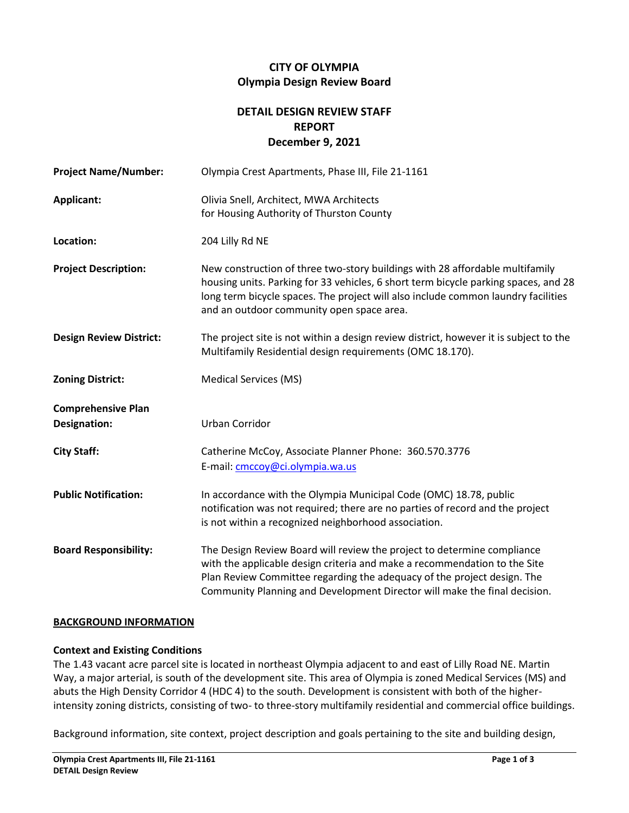# **CITY OF OLYMPIA Olympia Design Review Board**

# **DETAIL DESIGN REVIEW STAFF REPORT December 9, 2021**

| <b>Project Name/Number:</b>                      | Olympia Crest Apartments, Phase III, File 21-1161                                                                                                                                                                                                                                                            |
|--------------------------------------------------|--------------------------------------------------------------------------------------------------------------------------------------------------------------------------------------------------------------------------------------------------------------------------------------------------------------|
| Applicant:                                       | Olivia Snell, Architect, MWA Architects<br>for Housing Authority of Thurston County                                                                                                                                                                                                                          |
| Location:                                        | 204 Lilly Rd NE                                                                                                                                                                                                                                                                                              |
| <b>Project Description:</b>                      | New construction of three two-story buildings with 28 affordable multifamily<br>housing units. Parking for 33 vehicles, 6 short term bicycle parking spaces, and 28<br>long term bicycle spaces. The project will also include common laundry facilities<br>and an outdoor community open space area.        |
| <b>Design Review District:</b>                   | The project site is not within a design review district, however it is subject to the<br>Multifamily Residential design requirements (OMC 18.170).                                                                                                                                                           |
| <b>Zoning District:</b>                          | <b>Medical Services (MS)</b>                                                                                                                                                                                                                                                                                 |
| <b>Comprehensive Plan</b><br><b>Designation:</b> | Urban Corridor                                                                                                                                                                                                                                                                                               |
| <b>City Staff:</b>                               | Catherine McCoy, Associate Planner Phone: 360.570.3776<br>E-mail: cmccoy@ci.olympia.wa.us                                                                                                                                                                                                                    |
| <b>Public Notification:</b>                      | In accordance with the Olympia Municipal Code (OMC) 18.78, public<br>notification was not required; there are no parties of record and the project<br>is not within a recognized neighborhood association.                                                                                                   |
| <b>Board Responsibility:</b>                     | The Design Review Board will review the project to determine compliance<br>with the applicable design criteria and make a recommendation to the Site<br>Plan Review Committee regarding the adequacy of the project design. The<br>Community Planning and Development Director will make the final decision. |

#### **BACKGROUND INFORMATION**

#### **Context and Existing Conditions**

The 1.43 vacant acre parcel site is located in northeast Olympia adjacent to and east of Lilly Road NE. Martin Way, a major arterial, is south of the development site. This area of Olympia is zoned Medical Services (MS) and abuts the High Density Corridor 4 (HDC 4) to the south. Development is consistent with both of the higherintensity zoning districts, consisting of two- to three-story multifamily residential and commercial office buildings.

Background information, site context, project description and goals pertaining to the site and building design,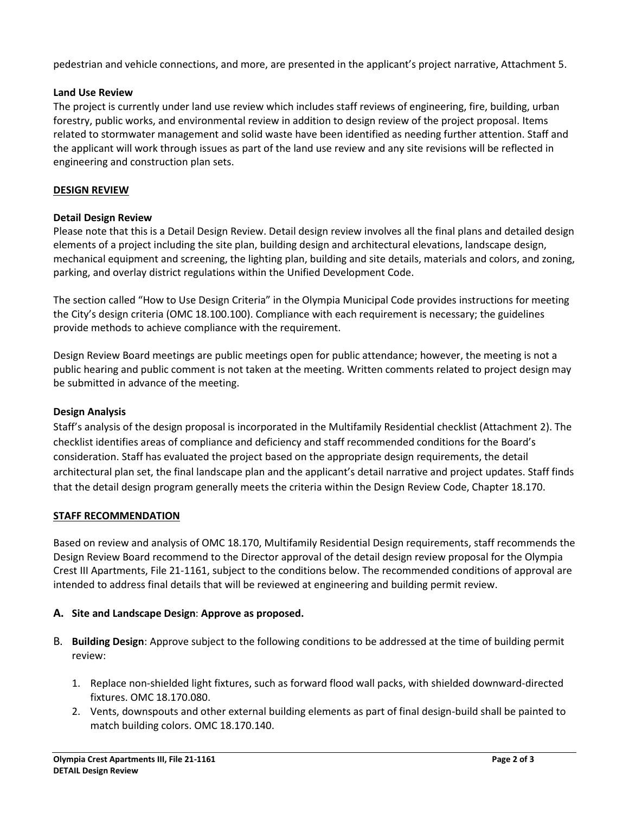pedestrian and vehicle connections, and more, are presented in the applicant's project narrative, Attachment 5.

## **Land Use Review**

The project is currently under land use review which includes staff reviews of engineering, fire, building, urban forestry, public works, and environmental review in addition to design review of the project proposal. Items related to stormwater management and solid waste have been identified as needing further attention. Staff and the applicant will work through issues as part of the land use review and any site revisions will be reflected in engineering and construction plan sets.

## **DESIGN REVIEW**

#### **Detail Design Review**

Please note that this is a Detail Design Review. Detail design review involves all the final plans and detailed design elements of a project including the site plan, building design and architectural elevations, landscape design, mechanical equipment and screening, the lighting plan, building and site details, materials and colors, and zoning, parking, and overlay district regulations within the Unified Development Code.

The section called "How to Use Design Criteria" in the Olympia Municipal Code provides instructions for meeting the City's design criteria (OMC 18.100.100). Compliance with each requirement is necessary; the guidelines provide methods to achieve compliance with the requirement.

Design Review Board meetings are public meetings open for public attendance; however, the meeting is not a public hearing and public comment is not taken at the meeting. Written comments related to project design may be submitted in advance of the meeting.

## **Design Analysis**

Staff's analysis of the design proposal is incorporated in the Multifamily Residential checklist (Attachment 2). The checklist identifies areas of compliance and deficiency and staff recommended conditions for the Board's consideration. Staff has evaluated the project based on the appropriate design requirements, the detail architectural plan set, the final landscape plan and the applicant's detail narrative and project updates. Staff finds that the detail design program generally meets the criteria within the Design Review Code, Chapter 18.170.

#### **STAFF RECOMMENDATION**

Based on review and analysis of OMC 18.170, Multifamily Residential Design requirements, staff recommends the Design Review Board recommend to the Director approval of the detail design review proposal for the Olympia Crest III Apartments, File 21-1161, subject to the conditions below. The recommended conditions of approval are intended to address final details that will be reviewed at engineering and building permit review.

# **A. Site and Landscape Design**: **Approve as proposed.**

- B. **Building Design**: Approve subject to the following conditions to be addressed at the time of building permit review:
	- 1. Replace non-shielded light fixtures, such as forward flood wall packs, with shielded downward-directed fixtures. OMC 18.170.080.
	- 2. Vents, downspouts and other external building elements as part of final design-build shall be painted to match building colors. OMC 18.170.140.